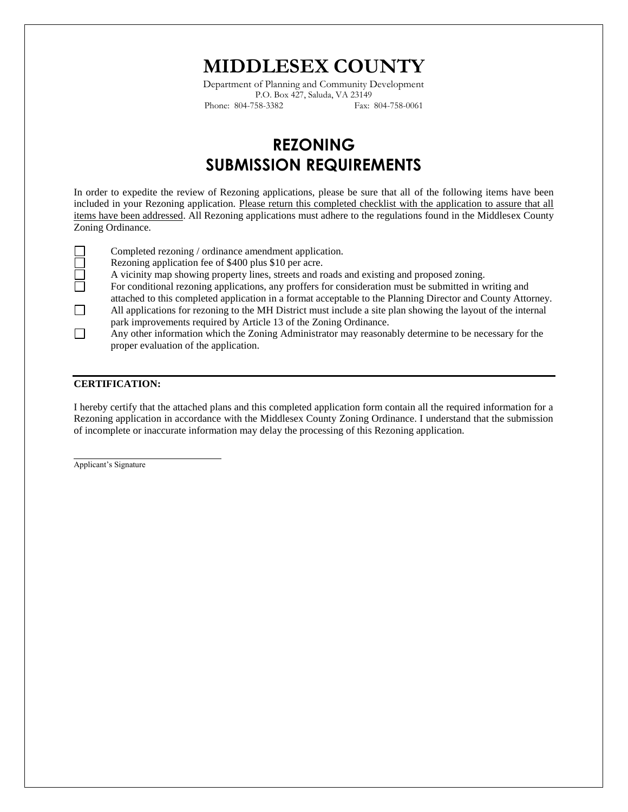# **MIDDLESEX COUNTY**

Department of Planning and Community Development P.O. Box 427, Saluda, VA 23149 Phone: 804-758-3382 Fax: 804-758-0061

## **REZONING SUBMISSION REQUIREMENTS**

In order to expedite the review of Rezoning applications, please be sure that all of the following items have been included in your Rezoning application. Please return this completed checklist with the application to assure that all items have been addressed. All Rezoning applications must adhere to the regulations found in the Middlesex County Zoning Ordinance.



- Completed rezoning / ordinance amendment application.
- Rezoning application fee of \$400 plus \$10 per acre.
- A vicinity map showing property lines, streets and roads and existing and proposed zoning.
- For conditional rezoning applications, any proffers for consideration must be submitted in writing and attached to this completed application in a format acceptable to the Planning Director and County Attorney.
- $\Box$ All applications for rezoning to the MH District must include a site plan showing the layout of the internal park improvements required by Article 13 of the Zoning Ordinance.
- $\Box$ Any other information which the Zoning Administrator may reasonably determine to be necessary for the proper evaluation of the application.

#### **CERTIFICATION:**

I hereby certify that the attached plans and this completed application form contain all the required information for a Rezoning application in accordance with the Middlesex County Zoning Ordinance. I understand that the submission of incomplete or inaccurate information may delay the processing of this Rezoning application.

Applicant's Signature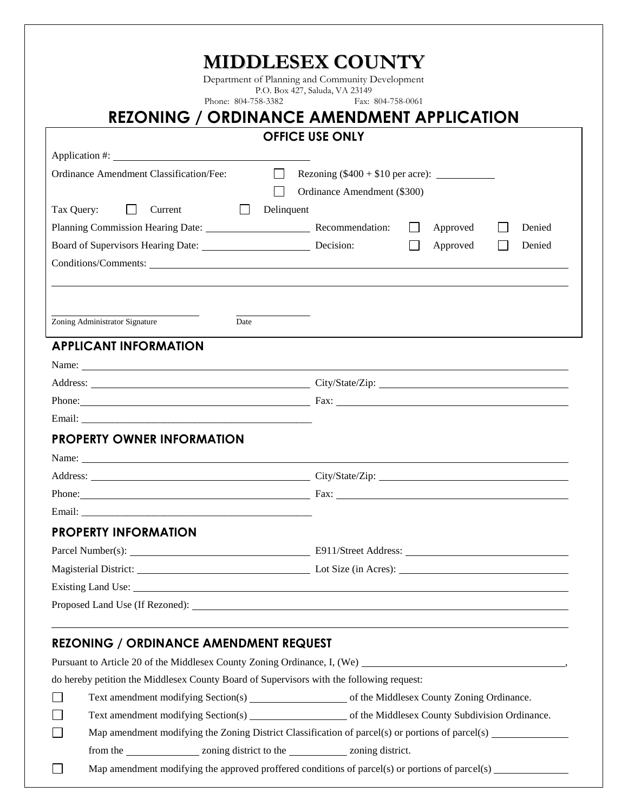Department of Planning and Community Development P.O. Box 427, Saluda, VA 23149 Phone: 804-758-3382

## **REZONING / ORDINANCE AMENDMENT APPLICATION**

### **OFFICE USE ONLY**

|                                                |                                                                                                                |                                               |      |            |  | <b>OFFICE USE ONLY</b>                                                                                                                                                                                                         |              |          |  |        |
|------------------------------------------------|----------------------------------------------------------------------------------------------------------------|-----------------------------------------------|------|------------|--|--------------------------------------------------------------------------------------------------------------------------------------------------------------------------------------------------------------------------------|--------------|----------|--|--------|
|                                                |                                                                                                                | Application #:                                |      |            |  |                                                                                                                                                                                                                                |              |          |  |        |
| <b>Ordinance Amendment Classification/Fee:</b> |                                                                                                                |                                               |      | $\Box$     |  |                                                                                                                                                                                                                                |              |          |  |        |
|                                                |                                                                                                                |                                               |      |            |  | Ordinance Amendment (\$300)                                                                                                                                                                                                    |              |          |  |        |
| Tax Query:                                     | $\mathbf{L}$                                                                                                   | Current                                       |      | Delinquent |  |                                                                                                                                                                                                                                |              |          |  |        |
|                                                |                                                                                                                |                                               |      |            |  |                                                                                                                                                                                                                                | $\mathbf{I}$ | Approved |  | Denied |
|                                                |                                                                                                                | Board of Supervisors Hearing Date: Decision:  |      |            |  |                                                                                                                                                                                                                                |              | Approved |  | Denied |
|                                                |                                                                                                                |                                               |      |            |  |                                                                                                                                                                                                                                |              |          |  |        |
|                                                |                                                                                                                |                                               |      |            |  |                                                                                                                                                                                                                                |              |          |  |        |
|                                                |                                                                                                                |                                               |      |            |  |                                                                                                                                                                                                                                |              |          |  |        |
| Zoning Administrator Signature                 |                                                                                                                |                                               | Date |            |  |                                                                                                                                                                                                                                |              |          |  |        |
|                                                |                                                                                                                | <b>APPLICANT INFORMATION</b>                  |      |            |  |                                                                                                                                                                                                                                |              |          |  |        |
|                                                |                                                                                                                |                                               |      |            |  | Name: Name and the contract of the contract of the contract of the contract of the contract of the contract of the contract of the contract of the contract of the contract of the contract of the contract of the contract of |              |          |  |        |
|                                                |                                                                                                                |                                               |      |            |  | Address: City/State/Zip: City/State/Zip:                                                                                                                                                                                       |              |          |  |        |
|                                                |                                                                                                                |                                               |      |            |  |                                                                                                                                                                                                                                |              |          |  |        |
|                                                |                                                                                                                |                                               |      |            |  |                                                                                                                                                                                                                                |              |          |  |        |
|                                                |                                                                                                                | <b>PROPERTY OWNER INFORMATION</b>             |      |            |  |                                                                                                                                                                                                                                |              |          |  |        |
|                                                |                                                                                                                |                                               |      |            |  |                                                                                                                                                                                                                                |              |          |  |        |
|                                                |                                                                                                                |                                               |      |            |  | Address: City/State/Zip: City/State/Zip:                                                                                                                                                                                       |              |          |  |        |
|                                                |                                                                                                                |                                               |      |            |  |                                                                                                                                                                                                                                |              |          |  |        |
|                                                |                                                                                                                |                                               |      |            |  |                                                                                                                                                                                                                                |              |          |  |        |
|                                                |                                                                                                                | <b>PROPERTY INFORMATION</b>                   |      |            |  |                                                                                                                                                                                                                                |              |          |  |        |
|                                                |                                                                                                                |                                               |      |            |  |                                                                                                                                                                                                                                |              |          |  |        |
|                                                |                                                                                                                |                                               |      |            |  | Magisterial District: Let Size (in Acres): Lot Size (in Acres):                                                                                                                                                                |              |          |  |        |
|                                                |                                                                                                                | Existing Land Use:                            |      |            |  |                                                                                                                                                                                                                                |              |          |  |        |
|                                                |                                                                                                                |                                               |      |            |  |                                                                                                                                                                                                                                |              |          |  |        |
|                                                |                                                                                                                |                                               |      |            |  |                                                                                                                                                                                                                                |              |          |  |        |
|                                                |                                                                                                                | <b>REZONING / ORDINANCE AMENDMENT REQUEST</b> |      |            |  |                                                                                                                                                                                                                                |              |          |  |        |
|                                                |                                                                                                                |                                               |      |            |  |                                                                                                                                                                                                                                |              |          |  |        |
|                                                |                                                                                                                |                                               |      |            |  | do hereby petition the Middlesex County Board of Supervisors with the following request:                                                                                                                                       |              |          |  |        |
|                                                |                                                                                                                |                                               |      |            |  |                                                                                                                                                                                                                                |              |          |  |        |
|                                                |                                                                                                                |                                               |      |            |  |                                                                                                                                                                                                                                |              |          |  |        |
|                                                | Map amendment modifying the Zoning District Classification of parcel(s) or portions of parcel(s) _____________ |                                               |      |            |  |                                                                                                                                                                                                                                |              |          |  |        |
|                                                |                                                                                                                |                                               |      |            |  |                                                                                                                                                                                                                                |              |          |  |        |

Map amendment modifying the approved proffered conditions of parcel(s) or portions of parcel(s) \_\_\_\_\_\_\_\_\_\_

 $\Box$